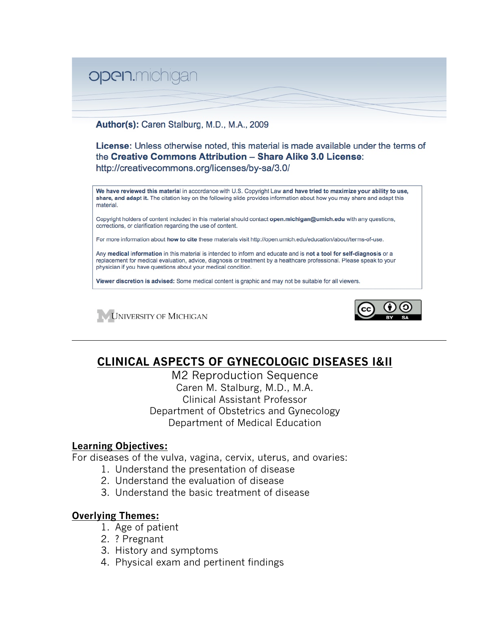

Author(s): Caren Stalburg, M.D., M.A., 2009

License: Unless otherwise noted, this material is made available under the terms of the Creative Commons Attribution - Share Alike 3.0 License: http://creativecommons.org/licenses/by-sa/3.0/

We have reviewed this material in accordance with U.S. Copyright Law and have tried to maximize your ability to use, share, and adapt it. The citation key on the following slide provides information about how you may share and adapt this material.

Copyright holders of content included in this material should contact open.michigan@umich.edu with any questions, corrections, or clarification regarding the use of content.

For more information about how to cite these materials visit http://open.umich.edu/education/about/terms-of-use.

Any medical information in this material is intended to inform and educate and is not a tool for self-diagnosis or a replacement for medical evaluation, advice, diagnosis or treatment by a healthcare professional. Please speak to your physician if you have questions about your medical condition.

Viewer discretion is advised: Some medical content is graphic and may not be suitable for all viewers.





# **CLINICAL ASPECTS OF GYNECOLOGIC DISEASES I&II**

M2 Reproduction Sequence Caren M. Stalburg, M.D., M.A. Clinical Assistant Professor Department of Obstetrics and Gynecology Department of Medical Education

# **Learning Objectives:**

For diseases of the vulva, vagina, cervix, uterus, and ovaries:

- 1. Understand the presentation of disease
- 2. Understand the evaluation of disease
- 3. Understand the basic treatment of disease

# **Overlying Themes:**

- 1. Age of patient
- 2. ? Pregnant
- 3. History and symptoms
- 4. Physical exam and pertinent findings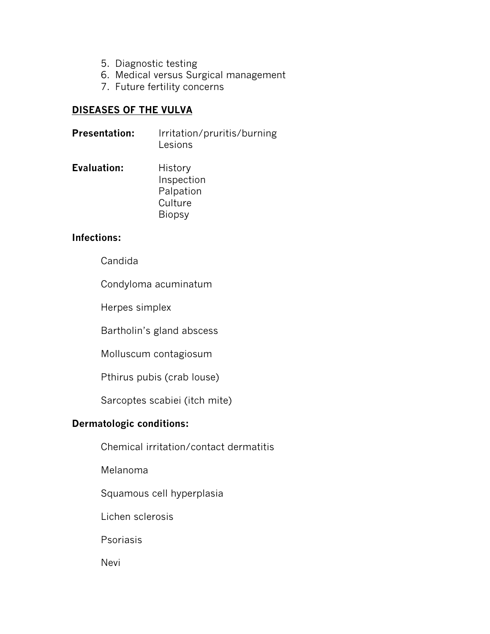- 5. Diagnostic testing
- 6. Medical versus Surgical management
- 7. Future fertility concerns

# **DISEASES OF THE VULVA**

| <b>Presentation:</b> | Irritation/pruritis/burning |  |
|----------------------|-----------------------------|--|
|                      | Lesions                     |  |

**Evaluation:** History Inspection Palpation **Culture** Biopsy

# **Infections:**

Candida

Condyloma acuminatum

Herpes simplex

Bartholin's gland abscess

Molluscum contagiosum

Pthirus pubis (crab louse)

Sarcoptes scabiei (itch mite)

# **Dermatologic conditions:**

Chemical irritation/contact dermatitis

Melanoma

Squamous cell hyperplasia

Lichen sclerosis

Psoriasis

**Nevi**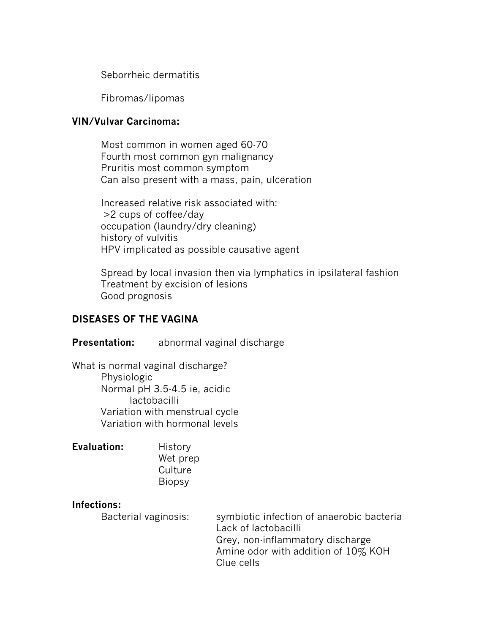Seborrheic dermatitis

Fibromas/lipomas

# **VIN/Vulvar Carcinoma:**

Most common in women aged 60-70 Fourth most common gyn malignancy Pruritis most common symptom Can also present with a mass, pain, ulceration

Increased relative risk associated with: >2 cups of coffee/day occupation (laundry/dry cleaning) history of vulvitis HPV implicated as possible causative agent

Spread by local invasion then via lymphatics in ipsilateral fashion Treatment by excision of lesions Good prognosis

# **DISEASES OF THE VAGINA**

# **Presentation:** abnormal vaginal discharge

What is normal vaginal discharge? Physiologic Normal pH 3.5-4.5 ie, acidic lactobacilli Variation with menstrual cycle Variation with hormonal levels

| <b>Evaluation:</b> | History       |
|--------------------|---------------|
|                    | Wet prep      |
|                    | Culture       |
|                    | <b>Biopsy</b> |

## **Infections:**

Bacterial vaginosis: symbiotic infection of anaerobic bacteria Lack of lactobacilli Grey, non-inflammatory discharge Amine odor with addition of 10% KOH Clue cells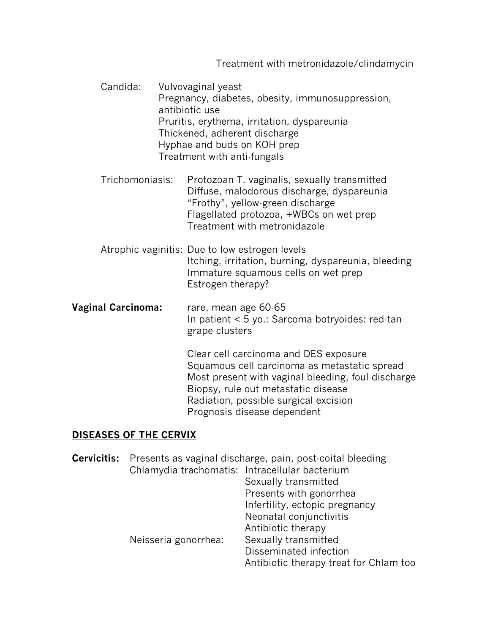Treatment with metronidazole/clindamycin

Candida: Vulvovaginal yeast Pregnancy, diabetes, obesity, immunosuppression, antibiotic use Pruritis, erythema, irritation, dyspareunia Thickened, adherent discharge Hyphae and buds on KOH prep Treatment with anti-fungals

Trichomoniasis: Protozoan T. vaginalis, sexually transmitted Diffuse, malodorous discharge, dyspareunia "Frothy", yellow-green discharge Flagellated protozoa, +WBCs on wet prep Treatment with metronidazole

- Atrophic vaginitis: Due to low estrogen levels Itching, irritation, burning, dyspareunia, bleeding Immature squamous cells on wet prep Estrogen therapy?
- **Vaginal Carcinoma:** rare, mean age 60-65 In patient < 5 yo.: Sarcoma botryoides: red-tan grape clusters

Clear cell carcinoma and DES exposure Squamous cell carcinoma as metastatic spread Most present with vaginal bleeding, foul discharge Biopsy, rule out metastatic disease Radiation, possible surgical excision Prognosis disease dependent

# **DISEASES OF THE CERVIX**

| <b>Cervicitis:</b> Presents as vaginal discharge, pain, post-coital bleeding |                                        |  |
|------------------------------------------------------------------------------|----------------------------------------|--|
| Chlamydia trachomatis: Intracellular bacterium                               |                                        |  |
|                                                                              | Sexually transmitted                   |  |
|                                                                              | Presents with gonorrhea                |  |
|                                                                              | Infertility, ectopic pregnancy         |  |
|                                                                              | Neonatal conjunctivitis                |  |
|                                                                              | Antibiotic therapy                     |  |
| Neisseria gonorrhea:                                                         | Sexually transmitted                   |  |
|                                                                              | Disseminated infection                 |  |
|                                                                              | Antibiotic therapy treat for Chlam too |  |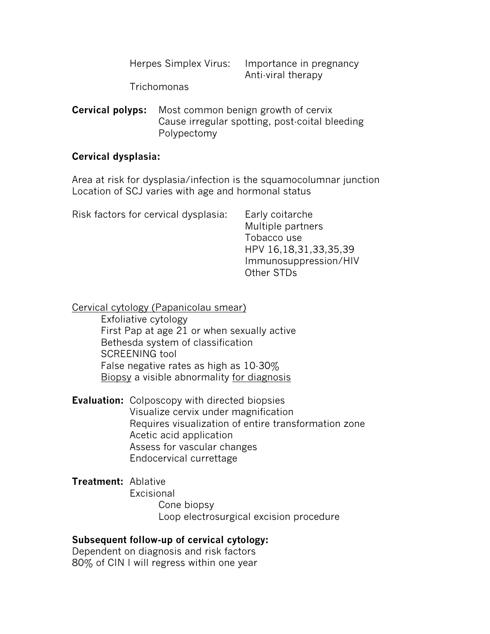| Herpes Simplex Virus: | Importance in pregnancy |  |
|-----------------------|-------------------------|--|
|                       | Anti-viral therapy      |  |

Trichomonas

**Cervical polyps:** Most common benign growth of cervix Cause irregular spotting, post-coital bleeding Polypectomy

#### **Cervical dysplasia:**

Area at risk for dysplasia/infection is the squamocolumnar junction Location of SCJ varies with age and hormonal status

| Risk factors for cervical dysplasia: | Early coitarche<br>Multiple partners<br>Tobacco use<br>HPV 16,18,31,33,35,39<br>Immunosuppression/HIV<br>Other STDs |
|--------------------------------------|---------------------------------------------------------------------------------------------------------------------|
|                                      |                                                                                                                     |

Cervical cytology (Papanicolau smear)

Exfoliative cytology First Pap at age 21 or when sexually active Bethesda system of classification SCREENING tool False negative rates as high as 10-30% Biopsy a visible abnormality for diagnosis

**Evaluation:** Colposcopy with directed biopsies Visualize cervix under magnification Requires visualization of entire transformation zone Acetic acid application Assess for vascular changes Endocervical currettage

**Treatment:** Ablative **Excisional** Cone biopsy Loop electrosurgical excision procedure

## **Subsequent follow-up of cervical cytology:**

Dependent on diagnosis and risk factors 80% of CIN I will regress within one year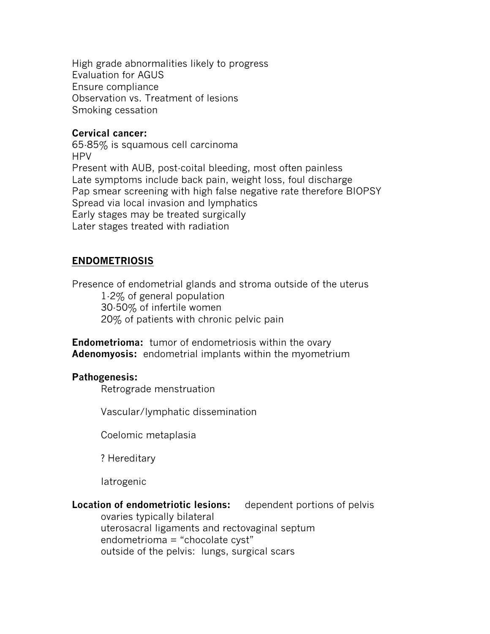High grade abnormalities likely to progress Evaluation for AGUS Ensure compliance Observation vs. Treatment of lesions Smoking cessation

## **Cervical cancer:**

65-85% is squamous cell carcinoma HPV Present with AUB, post-coital bleeding, most often painless Late symptoms include back pain, weight loss, foul discharge Pap smear screening with high false negative rate therefore BIOPSY Spread via local invasion and lymphatics Early stages may be treated surgically Later stages treated with radiation

# **ENDOMETRIOSIS**

Presence of endometrial glands and stroma outside of the uterus 1-2% of general population 30-50% of infertile women 20% of patients with chronic pelvic pain

**Endometrioma:** tumor of endometriosis within the ovary **Adenomyosis:** endometrial implants within the myometrium

# **Pathogenesis:**

Retrograde menstruation

Vascular/lymphatic dissemination

Coelomic metaplasia

? Hereditary

Iatrogenic

**Location of endometriotic lesions:** dependent portions of pelvis ovaries typically bilateral uterosacral ligaments and rectovaginal septum endometrioma = "chocolate cyst" outside of the pelvis: lungs, surgical scars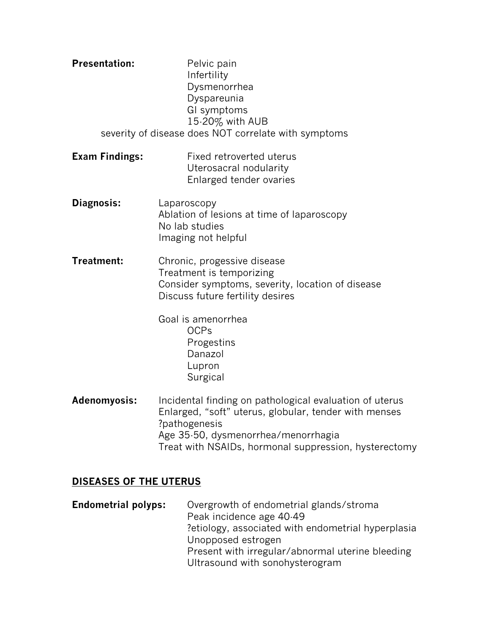| <b>Presentation:</b>  | Pelvic pain<br>Infertility<br>Dysmenorrhea<br>Dyspareunia<br>GI symptoms<br>15-20% with AUB                                                                                                                                       |  |
|-----------------------|-----------------------------------------------------------------------------------------------------------------------------------------------------------------------------------------------------------------------------------|--|
|                       | severity of disease does NOT correlate with symptoms                                                                                                                                                                              |  |
| <b>Exam Findings:</b> | Fixed retroverted uterus<br>Uterosacral nodularity<br>Enlarged tender ovaries                                                                                                                                                     |  |
| Diagnosis:            | Laparoscopy<br>Ablation of lesions at time of laparoscopy<br>No lab studies<br>Imaging not helpful                                                                                                                                |  |
| Treatment:            | Chronic, progessive disease<br>Treatment is temporizing<br>Consider symptoms, severity, location of disease<br>Discuss future fertility desires                                                                                   |  |
|                       | Goal is amenorrhea<br><b>OCPs</b><br>Progestins<br>Danazol<br>Lupron<br>Surgical                                                                                                                                                  |  |
| Adenomyosis:          | Incidental finding on pathological evaluation of uterus<br>Enlarged, "soft" uterus, globular, tender with menses<br>?pathogenesis<br>Age 35-50, dysmenorrhea/menorrhagia<br>Treat with NSAIDs, hormonal suppression, hysterectomy |  |

# **DISEASES OF THE UTERUS**

**Endometrial polyps:** Overgrowth of endometrial glands/stroma Peak incidence age 40-49 ?etiology, associated with endometrial hyperplasia Unopposed estrogen Present with irregular/abnormal uterine bleeding Ultrasound with sonohysterogram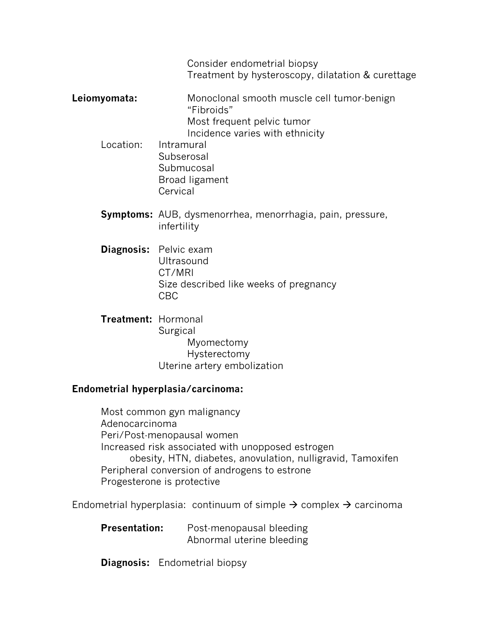Consider endometrial biopsy Treatment by hysteroscopy, dilatation & curettage

- **Leiomyomata:** Monoclonal smooth muscle cell tumor-benign "Fibroids" Most frequent pelvic tumor Incidence varies with ethnicity
	- Location: Intramural Subserosal **Submucosal** Broad ligament **Cervical**
	- **Symptoms:** AUB, dysmenorrhea, menorrhagia, pain, pressure, infertility
	- **Diagnosis:** Pelvic exam **Ultrasound** CT/MRI Size described like weeks of pregnancy CBC
	- **Treatment:** Hormonal **Surgical** Myomectomy Hysterectomy Uterine artery embolization

# **Endometrial hyperplasia/carcinoma:**

Most common gyn malignancy Adenocarcinoma Peri/Post-menopausal women Increased risk associated with unopposed estrogen obesity, HTN, diabetes, anovulation, nulligravid, Tamoxifen Peripheral conversion of androgens to estrone Progesterone is protective

Endometrial hyperplasia: continuum of simple  $\rightarrow$  complex  $\rightarrow$  carcinoma

**Presentation:** Post-menopausal bleeding Abnormal uterine bleeding

**Diagnosis:** Endometrial biopsy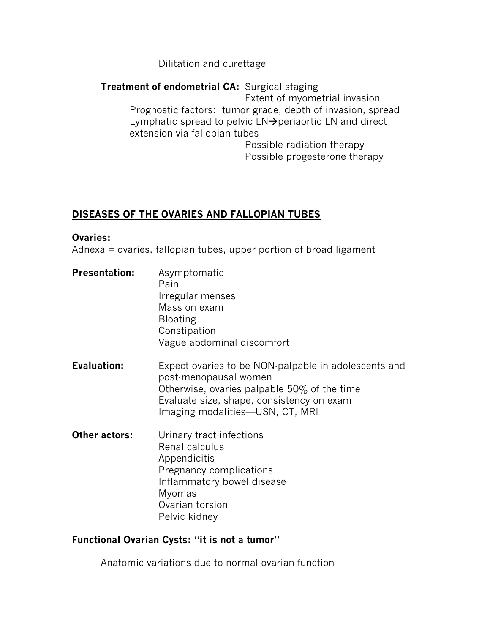# Dilitation and curettage

**Treatment of endometrial CA:** Surgical staging Extent of myometrial invasion Prognostic factors: tumor grade, depth of invasion, spread Lymphatic spread to pelvic  $LN\rightarrow$  periaortic LN and direct extension via fallopian tubes

Possible radiation therapy Possible progesterone therapy

# **DISEASES OF THE OVARIES AND FALLOPIAN TUBES**

#### **Ovaries:**

Adnexa = ovaries, fallopian tubes, upper portion of broad ligament

- **Presentation:** Asymptomatic Pain Irregular menses Mass on exam Bloating **Constipation** Vague abdominal discomfort
- **Evaluation:** Expect ovaries to be NON-palpable in adolescents and post-menopausal women Otherwise, ovaries palpable 50% of the time Evaluate size, shape, consistency on exam Imaging modalities—USN, CT, MRI
- **Other actors:** Urinary tract infections Renal calculus Appendicitis Pregnancy complications Inflammatory bowel disease Myomas Ovarian torsion Pelvic kidney

# **Functional Ovarian Cysts: "it is not a tumor"**

Anatomic variations due to normal ovarian function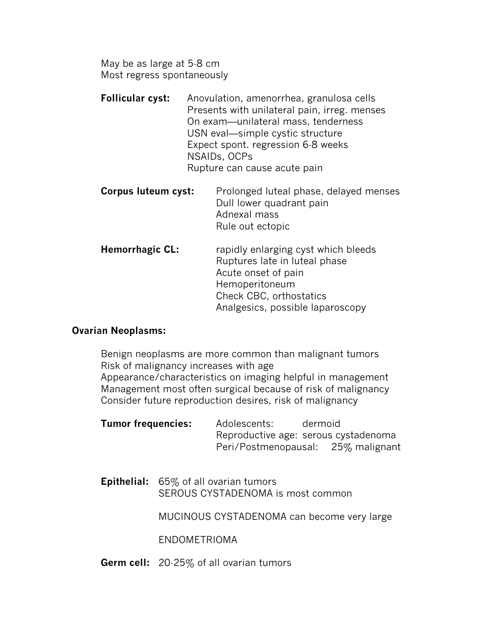May be as large at 5-8 cm Most regress spontaneously

- **Follicular cyst:** Anovulation, amenorrhea, granulosa cells Presents with unilateral pain, irreg. menses On exam—unilateral mass, tenderness USN eval—simple cystic structure Expect spont. regression 6-8 weeks NSAIDs, OCPs Rupture can cause acute pain
- **Corpus luteum cyst:** Prolonged luteal phase, delayed menses Dull lower quadrant pain Adnexal mass Rule out ectopic
- **Hemorrhagic CL:** rapidly enlarging cyst which bleeds Ruptures late in luteal phase Acute onset of pain Hemoperitoneum Check CBC, orthostatics Analgesics, possible laparoscopy

## **Ovarian Neoplasms:**

Benign neoplasms are more common than malignant tumors Risk of malignancy increases with age Appearance/characteristics on imaging helpful in management Management most often surgical because of risk of malignancy Consider future reproduction desires, risk of malignancy

| <b>Tumor frequencies:</b> | Adolescents: | dermoid                              |
|---------------------------|--------------|--------------------------------------|
|                           |              | Reproductive age: serous cystadenoma |
|                           |              | Peri/Postmenopausal: 25% malignant   |

**Epithelial:** 65% of all ovarian tumors SEROUS CYSTADENOMA is most common

MUCINOUS CYSTADENOMA can become very large

ENDOMETRIOMA

**Germ cell:** 20-25% of all ovarian tumors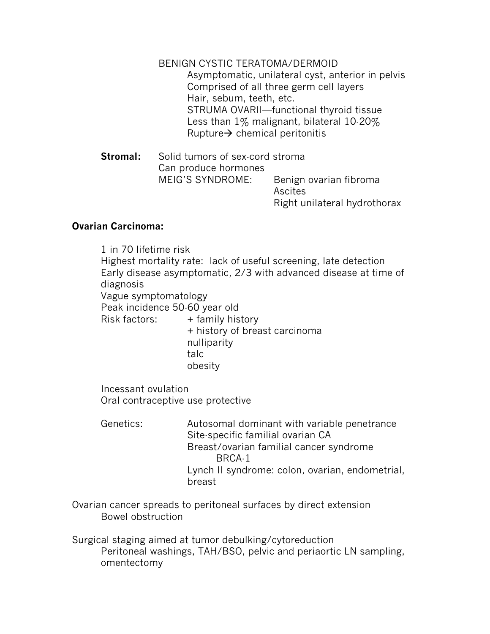BENIGN CYSTIC TERATOMA/DERMOID Asymptomatic, unilateral cyst, anterior in pelvis Comprised of all three germ cell layers Hair, sebum, teeth, etc. STRUMA OVARII—functional thyroid tissue Less than 1% malignant, bilateral 10-20% Rupture $\rightarrow$  chemical peritonitis

**Stromal:** Solid tumors of sex-cord stroma Can produce hormones MEIG'S SYNDROME: Benign ovarian fibroma Ascites Right unilateral hydrothorax

# **Ovarian Carcinoma:**

1 in 70 lifetime risk Highest mortality rate: lack of useful screening, late detection Early disease asymptomatic, 2/3 with advanced disease at time of diagnosis Vague symptomatology Peak incidence 50-60 year old  $Risk$  factors:  $+$  family history + history of breast carcinoma nulliparity talc obesity Incessant ovulation Oral contraceptive use protective

Genetics: Autosomal dominant with variable penetrance Site-specific familial ovarian CA Breast/ovarian familial cancer syndrome BRCA-1 Lynch II syndrome: colon, ovarian, endometrial, breast

Ovarian cancer spreads to peritoneal surfaces by direct extension Bowel obstruction

Surgical staging aimed at tumor debulking/cytoreduction Peritoneal washings, TAH/BSO, pelvic and periaortic LN sampling, omentectomy